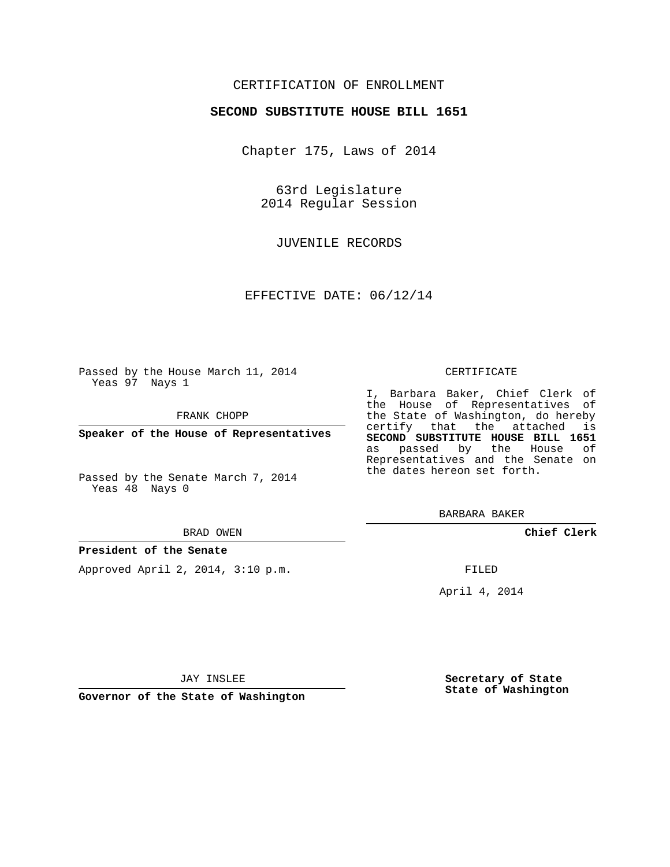## CERTIFICATION OF ENROLLMENT

## **SECOND SUBSTITUTE HOUSE BILL 1651**

Chapter 175, Laws of 2014

63rd Legislature 2014 Regular Session

JUVENILE RECORDS

EFFECTIVE DATE: 06/12/14

Passed by the House March 11, 2014 Yeas 97 Nays 1

FRANK CHOPP

**Speaker of the House of Representatives**

Passed by the Senate March 7, 2014 Yeas 48 Nays 0

#### BRAD OWEN

### **President of the Senate**

Approved April 2, 2014, 3:10 p.m.

#### CERTIFICATE

I, Barbara Baker, Chief Clerk of the House of Representatives of the State of Washington, do hereby certify that the attached is **SECOND SUBSTITUTE HOUSE BILL 1651** as passed by the House of Representatives and the Senate on the dates hereon set forth.

BARBARA BAKER

**Chief Clerk**

FILED

April 4, 2014

**Secretary of State State of Washington**

JAY INSLEE

**Governor of the State of Washington**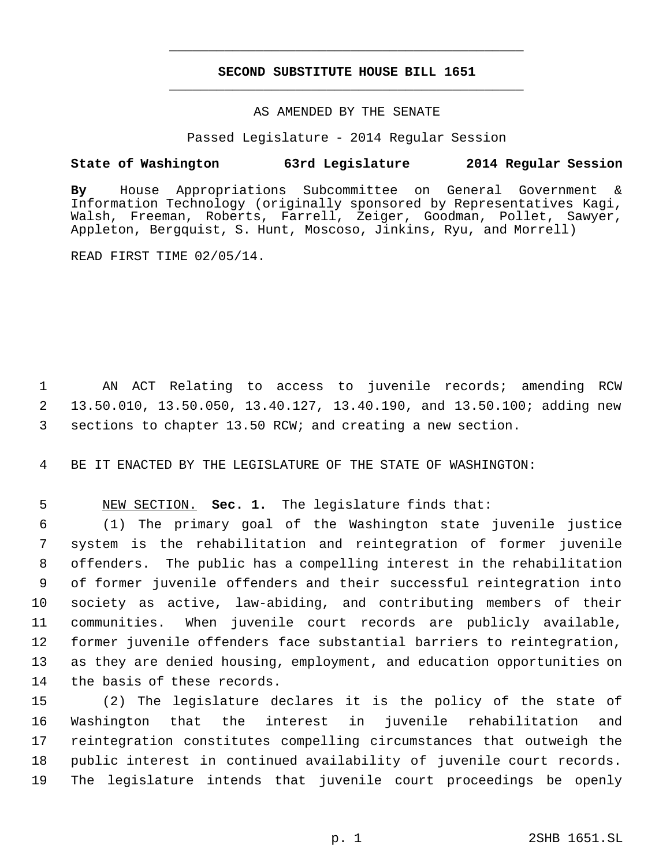# **SECOND SUBSTITUTE HOUSE BILL 1651** \_\_\_\_\_\_\_\_\_\_\_\_\_\_\_\_\_\_\_\_\_\_\_\_\_\_\_\_\_\_\_\_\_\_\_\_\_\_\_\_\_\_\_\_\_

\_\_\_\_\_\_\_\_\_\_\_\_\_\_\_\_\_\_\_\_\_\_\_\_\_\_\_\_\_\_\_\_\_\_\_\_\_\_\_\_\_\_\_\_\_

## AS AMENDED BY THE SENATE

Passed Legislature - 2014 Regular Session

# **State of Washington 63rd Legislature 2014 Regular Session**

**By** House Appropriations Subcommittee on General Government & Information Technology (originally sponsored by Representatives Kagi, Walsh, Freeman, Roberts, Farrell, Zeiger, Goodman, Pollet, Sawyer, Appleton, Bergquist, S. Hunt, Moscoso, Jinkins, Ryu, and Morrell)

READ FIRST TIME 02/05/14.

 AN ACT Relating to access to juvenile records; amending RCW 13.50.010, 13.50.050, 13.40.127, 13.40.190, and 13.50.100; adding new sections to chapter 13.50 RCW; and creating a new section.

BE IT ENACTED BY THE LEGISLATURE OF THE STATE OF WASHINGTON:

NEW SECTION. **Sec. 1.** The legislature finds that:

 (1) The primary goal of the Washington state juvenile justice system is the rehabilitation and reintegration of former juvenile offenders. The public has a compelling interest in the rehabilitation of former juvenile offenders and their successful reintegration into society as active, law-abiding, and contributing members of their communities. When juvenile court records are publicly available, former juvenile offenders face substantial barriers to reintegration, as they are denied housing, employment, and education opportunities on the basis of these records.

 (2) The legislature declares it is the policy of the state of Washington that the interest in juvenile rehabilitation and reintegration constitutes compelling circumstances that outweigh the public interest in continued availability of juvenile court records. The legislature intends that juvenile court proceedings be openly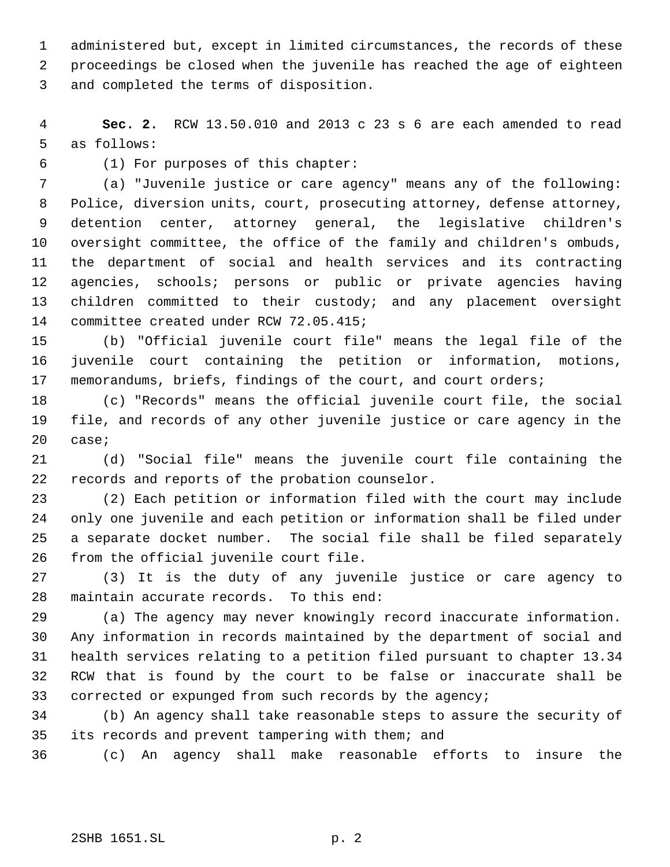administered but, except in limited circumstances, the records of these proceedings be closed when the juvenile has reached the age of eighteen and completed the terms of disposition.

 **Sec. 2.** RCW 13.50.010 and 2013 c 23 s 6 are each amended to read as follows:

(1) For purposes of this chapter:

 (a) "Juvenile justice or care agency" means any of the following: Police, diversion units, court, prosecuting attorney, defense attorney, detention center, attorney general, the legislative children's oversight committee, the office of the family and children's ombuds, the department of social and health services and its contracting agencies, schools; persons or public or private agencies having children committed to their custody; and any placement oversight committee created under RCW 72.05.415;

 (b) "Official juvenile court file" means the legal file of the juvenile court containing the petition or information, motions, memorandums, briefs, findings of the court, and court orders;

 (c) "Records" means the official juvenile court file, the social file, and records of any other juvenile justice or care agency in the case;

 (d) "Social file" means the juvenile court file containing the records and reports of the probation counselor.

 (2) Each petition or information filed with the court may include only one juvenile and each petition or information shall be filed under a separate docket number. The social file shall be filed separately from the official juvenile court file.

 (3) It is the duty of any juvenile justice or care agency to maintain accurate records. To this end:

 (a) The agency may never knowingly record inaccurate information. Any information in records maintained by the department of social and health services relating to a petition filed pursuant to chapter 13.34 RCW that is found by the court to be false or inaccurate shall be corrected or expunged from such records by the agency;

 (b) An agency shall take reasonable steps to assure the security of its records and prevent tampering with them; and

(c) An agency shall make reasonable efforts to insure the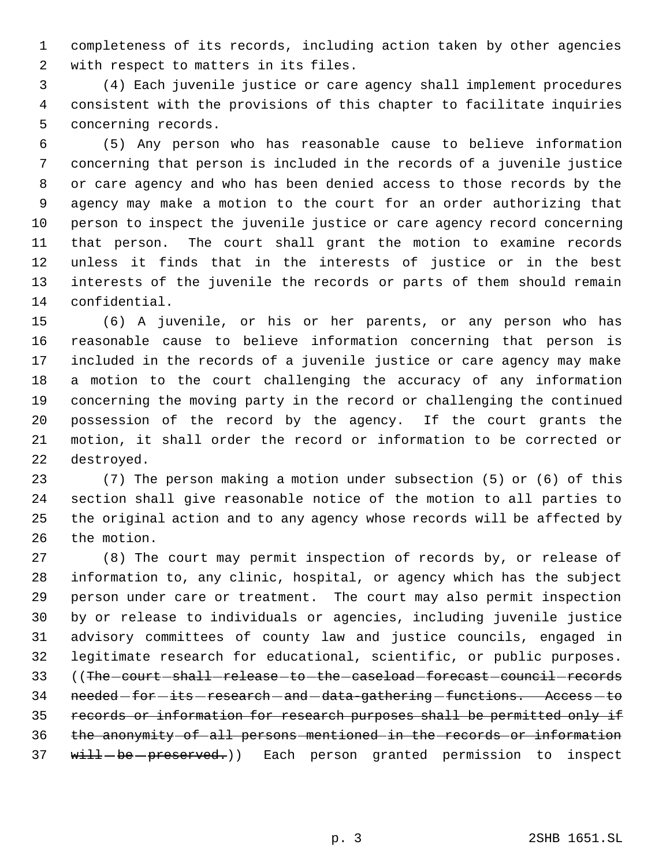completeness of its records, including action taken by other agencies with respect to matters in its files.

 (4) Each juvenile justice or care agency shall implement procedures consistent with the provisions of this chapter to facilitate inquiries concerning records.

 (5) Any person who has reasonable cause to believe information concerning that person is included in the records of a juvenile justice or care agency and who has been denied access to those records by the agency may make a motion to the court for an order authorizing that person to inspect the juvenile justice or care agency record concerning that person. The court shall grant the motion to examine records unless it finds that in the interests of justice or in the best interests of the juvenile the records or parts of them should remain confidential.

 (6) A juvenile, or his or her parents, or any person who has reasonable cause to believe information concerning that person is included in the records of a juvenile justice or care agency may make a motion to the court challenging the accuracy of any information concerning the moving party in the record or challenging the continued possession of the record by the agency. If the court grants the motion, it shall order the record or information to be corrected or destroyed.

 (7) The person making a motion under subsection (5) or (6) of this section shall give reasonable notice of the motion to all parties to the original action and to any agency whose records will be affected by the motion.

 (8) The court may permit inspection of records by, or release of information to, any clinic, hospital, or agency which has the subject person under care or treatment. The court may also permit inspection by or release to individuals or agencies, including juvenile justice advisory committees of county law and justice councils, engaged in legitimate research for educational, scientific, or public purposes. 33 ((The -court -shall -release -to -the -caseload -forecast -council -records 34 needed for its research and data-gathering functions. Access to records or information for research purposes shall be permitted only if the anonymity of all persons mentioned in the records or information 37 will-be-preserved.)) Each person granted permission to inspect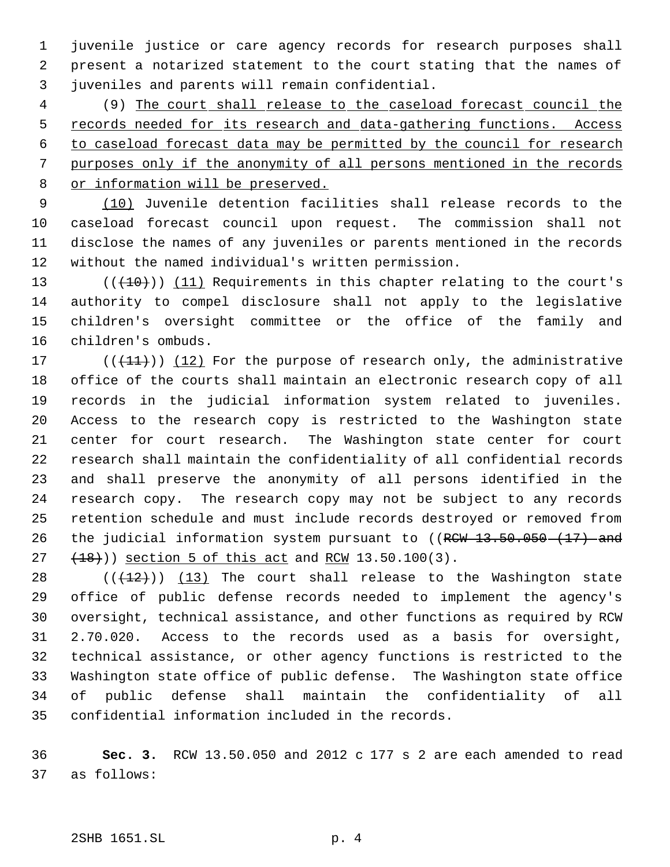juvenile justice or care agency records for research purposes shall present a notarized statement to the court stating that the names of juveniles and parents will remain confidential.

 (9) The court shall release to the caseload forecast council the 5 records needed for its research and data-gathering functions. Access to caseload forecast data may be permitted by the council for research purposes only if the anonymity of all persons mentioned in the records or information will be preserved.

9 (10) Juvenile detention facilities shall release records to the caseload forecast council upon request. The commission shall not disclose the names of any juveniles or parents mentioned in the records without the named individual's written permission.

13 (( $(10)$ )) (11) Requirements in this chapter relating to the court's authority to compel disclosure shall not apply to the legislative children's oversight committee or the office of the family and children's ombuds.

17 ( $(\frac{11}{1})$ ) (12) For the purpose of research only, the administrative office of the courts shall maintain an electronic research copy of all records in the judicial information system related to juveniles. Access to the research copy is restricted to the Washington state center for court research. The Washington state center for court research shall maintain the confidentiality of all confidential records and shall preserve the anonymity of all persons identified in the research copy. The research copy may not be subject to any records retention schedule and must include records destroyed or removed from 26 the judicial information system pursuant to ((RCW 13.50.050 (17) and 27 (18)) section 5 of this act and RCW 13.50.100(3).

 $((+12))$   $(13)$  The court shall release to the Washington state office of public defense records needed to implement the agency's oversight, technical assistance, and other functions as required by RCW 2.70.020. Access to the records used as a basis for oversight, technical assistance, or other agency functions is restricted to the Washington state office of public defense. The Washington state office of public defense shall maintain the confidentiality of all confidential information included in the records.

 **Sec. 3.** RCW 13.50.050 and 2012 c 177 s 2 are each amended to read as follows: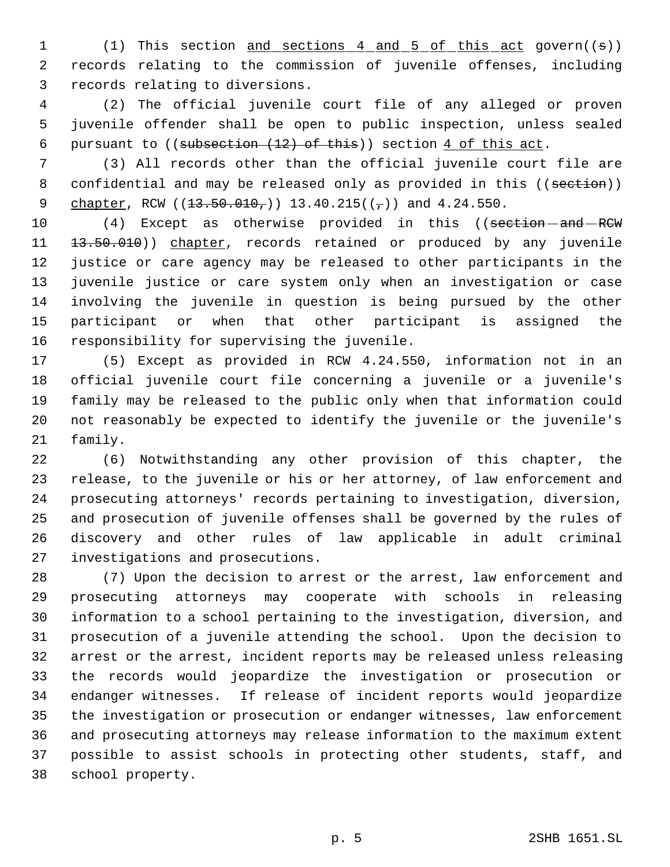1 (1) This section and sections 4 and 5 of this act govern((s)) records relating to the commission of juvenile offenses, including records relating to diversions.

 (2) The official juvenile court file of any alleged or proven juvenile offender shall be open to public inspection, unless sealed 6 pursuant to  $((subsection + 12) of this)$  section  $4$  of this act.

 (3) All records other than the official juvenile court file are 8 confidential and may be released only as provided in this ((section)) 9 chapter, RCW  $(13.50.010<sub>7</sub>)$  13.40.215 $((7))$  and 4.24.550.

10 (4) Except as otherwise provided in this ((section - and - RCW 11 13.50.010)) chapter, records retained or produced by any juvenile justice or care agency may be released to other participants in the juvenile justice or care system only when an investigation or case involving the juvenile in question is being pursued by the other participant or when that other participant is assigned the responsibility for supervising the juvenile.

 (5) Except as provided in RCW 4.24.550, information not in an official juvenile court file concerning a juvenile or a juvenile's family may be released to the public only when that information could not reasonably be expected to identify the juvenile or the juvenile's family.

 (6) Notwithstanding any other provision of this chapter, the release, to the juvenile or his or her attorney, of law enforcement and prosecuting attorneys' records pertaining to investigation, diversion, and prosecution of juvenile offenses shall be governed by the rules of discovery and other rules of law applicable in adult criminal investigations and prosecutions.

 (7) Upon the decision to arrest or the arrest, law enforcement and prosecuting attorneys may cooperate with schools in releasing information to a school pertaining to the investigation, diversion, and prosecution of a juvenile attending the school. Upon the decision to arrest or the arrest, incident reports may be released unless releasing the records would jeopardize the investigation or prosecution or endanger witnesses. If release of incident reports would jeopardize the investigation or prosecution or endanger witnesses, law enforcement and prosecuting attorneys may release information to the maximum extent possible to assist schools in protecting other students, staff, and school property.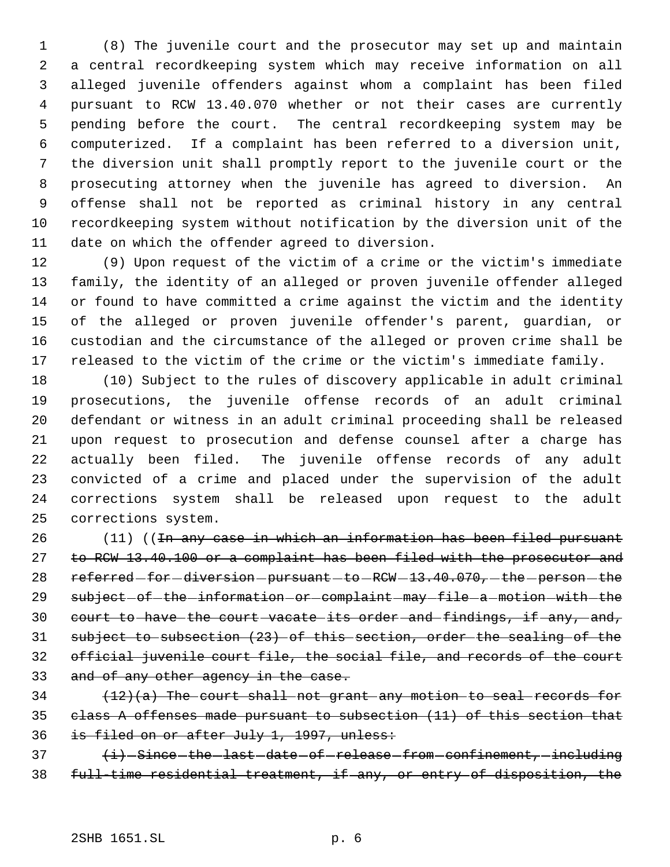(8) The juvenile court and the prosecutor may set up and maintain a central recordkeeping system which may receive information on all alleged juvenile offenders against whom a complaint has been filed pursuant to RCW 13.40.070 whether or not their cases are currently pending before the court. The central recordkeeping system may be computerized. If a complaint has been referred to a diversion unit, the diversion unit shall promptly report to the juvenile court or the prosecuting attorney when the juvenile has agreed to diversion. An offense shall not be reported as criminal history in any central recordkeeping system without notification by the diversion unit of the date on which the offender agreed to diversion.

 (9) Upon request of the victim of a crime or the victim's immediate family, the identity of an alleged or proven juvenile offender alleged or found to have committed a crime against the victim and the identity of the alleged or proven juvenile offender's parent, guardian, or custodian and the circumstance of the alleged or proven crime shall be released to the victim of the crime or the victim's immediate family.

 (10) Subject to the rules of discovery applicable in adult criminal prosecutions, the juvenile offense records of an adult criminal defendant or witness in an adult criminal proceeding shall be released upon request to prosecution and defense counsel after a charge has actually been filed. The juvenile offense records of any adult convicted of a crime and placed under the supervision of the adult corrections system shall be released upon request to the adult corrections system.

26 (11) ((In any case in which an information has been filed pursuant 27 to RCW 13.40.100 or a complaint has been filed with the prosecutor and 28 referred-for-diversion-pursuant-to-RCW-13.40.070,-the-person-the 29 subject-of-the-information-or-complaint-may-file-a-motion-with-the 30 court to have the court vacate its order and findings, if any, and, subject to subsection (23) of this section, order the sealing of the official juvenile court file, the social file, and records of the court 33 and of any other agency in the case.

  $(12)(a)$  The court shall not grant any motion to seal records for class A offenses made pursuant to subsection (11) of this section that is filed on or after July 1, 1997, unless:

37  $\{i\}$  -Since -the last date of release from confinement, including full-time residential treatment, if any, or entry of disposition, the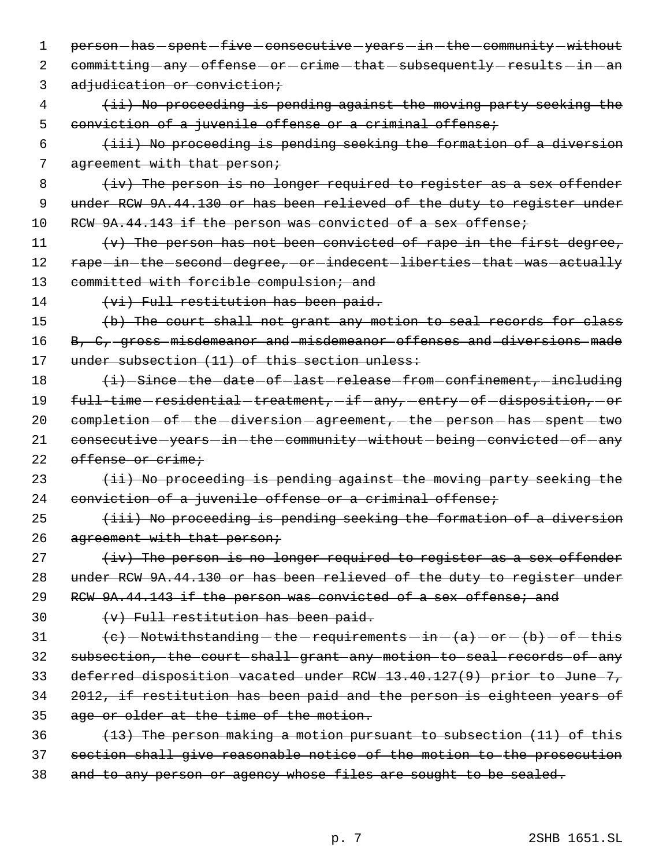1 person-has-spent-five-consecutive-years-in-the-community-without 2 committing - any - offense - or - crime - that - subsequently - results - in - an 3 adjudication or conviction; 4 (ii) No proceeding is pending against the moving party seeking the 5 conviction of a juvenile offense or a criminal offense; 6 (iii) No proceeding is pending seeking the formation of a diversion 7 agreement with that person; 8 (iv) The person is no longer required to register as a sex offender 9 under RCW 9A.44.130 or has been relieved of the duty to register under 10 RCW 9A.44.143 if the person was convicted of a sex offense; 11  $(v)$  The person has not been convicted of rape in the first degree, 12 rape-in-the-second-degree, or-indecent-liberties-that-was-actually 13 committed with forcible compulsion; and 14 (vi) Full restitution has been paid. 15 (b) The court shall not grant any motion to seal records for class 16 B, C, gross misdemeanor and misdemeanor offenses and diversions made 17 under subsection (11) of this section unless: 18 (i) Since - the - date - of - last - release - from - confinement, - including 19 full-time-residential-treatment, -if-any, -entry-of-disposition, -or 20  $comple *t*ion  $-$  of *-* the *-*diversion *-* agreement, *-* the *-*person *-*has *-* spent *-* two$ 21 consecutive - years - in - the - community - without - being - convicted - of - any 22 offense or crime;  $23$   $(iii)$  No proceeding is pending against the moving party seeking the 24 conviction of a juvenile offense or a criminal offense;  $25$  (iii) No proceeding is pending seeking the formation of a diversion 26 agreement with that person;  $27$   $\text{div}$  The person is no longer required to register as a sex offender 28 under RCW 9A.44.130 or has been relieved of the duty to register under 29 RCW 9A.44.143 if the person was convicted of a sex offense; and 30  $(v)$  Full restitution has been paid. 31  $(e)$  -Notwithstanding -the -requirements -in -(a) -or -(b) -of -this 32 subsection, the court shall grant any motion to seal records of any 33 deferred disposition vacated under RCW 13.40.127(9) prior to June 7, 34 2012, if restitution has been paid and the person is eighteen years of 35 age or older at the time of the motion. 36  $(13)$  The person making a motion pursuant to subsection (11) of this 37 section shall give reasonable notice of the motion to the prosecution 38 and to any person or agency whose files are sought to be sealed.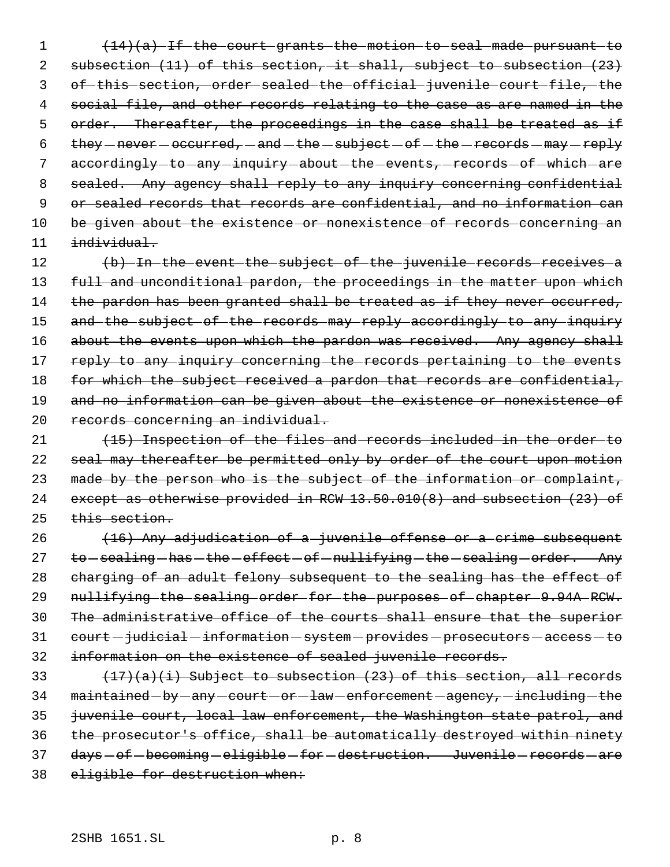1 (14)(a) If the court grants the motion to seal made pursuant to 2 subsection (11) of this section, it shall, subject to subsection (23) 3 of this section, order sealed the official juvenile court file, the 4 social file, and other records relating to the case as are named in the 5 order. Thereafter, the proceedings in the case shall be treated as if 6  $\times$  they  $-$  never  $-$  occurred,  $-$  and  $-$  the  $-$  subject  $-$  of  $-$  the  $-$  records  $-$  may  $-$  reply 7 accordingly-to-any-inquiry-about-the-events, records-of-which-are 8 sealed. Any agency shall reply to any inquiry concerning confidential 9 or sealed records that records are confidential, and no information can 10 be given about the existence or nonexistence of records concerning an  $11$   $individual.$ 

12 (b) In the event the subject of the juvenile records receives a 13 full and unconditional pardon, the proceedings in the matter upon which 14 the pardon has been granted shall be treated as if they never occurred, 15 and the subject of the records may reply accordingly to any inquiry 16 about the events upon which the pardon was received. Any agency shall 17 reply to any inquiry concerning the records pertaining to the events 18 for which the subject received a pardon that records are confidential, 19 and no information can be given about the existence or nonexistence of 20 records concerning an individual.

21 (15) Inspection of the files and records included in the order to 22 seal may thereafter be permitted only by order of the court upon motion 23 made by the person who is the subject of the information or complaint, 24 except as otherwise provided in RCW 13.50.010(8) and subsection (23) of 25 this section.

26 (16) Any adjudication of a juvenile offense or a crime subsequent 27 to -sealing -has -the -effect -of -nullifying -the -sealing -order. Any 28 charging of an adult felony subsequent to the sealing has the effect of 29 nullifying the sealing order for the purposes of chapter 9.94A RCW. 30 The administrative office of the courts shall ensure that the superior 31 court - judicial - information - system - provides - prosecutors - access - to 32 information on the existence of sealed juvenile records.

33  $(17)(a)(i)$  Subject to subsection (23) of this section, all records  $34$  maintained -by -any -court -or -law -enforcement -agency, -including -the 35 juvenile court, local law enforcement, the Washington state patrol, and 36 the prosecutor's office, shall be automatically destroyed within ninety 37 days-of-becoming-eligible-for-destruction. Juvenile-records-are 38 eligible for destruction when: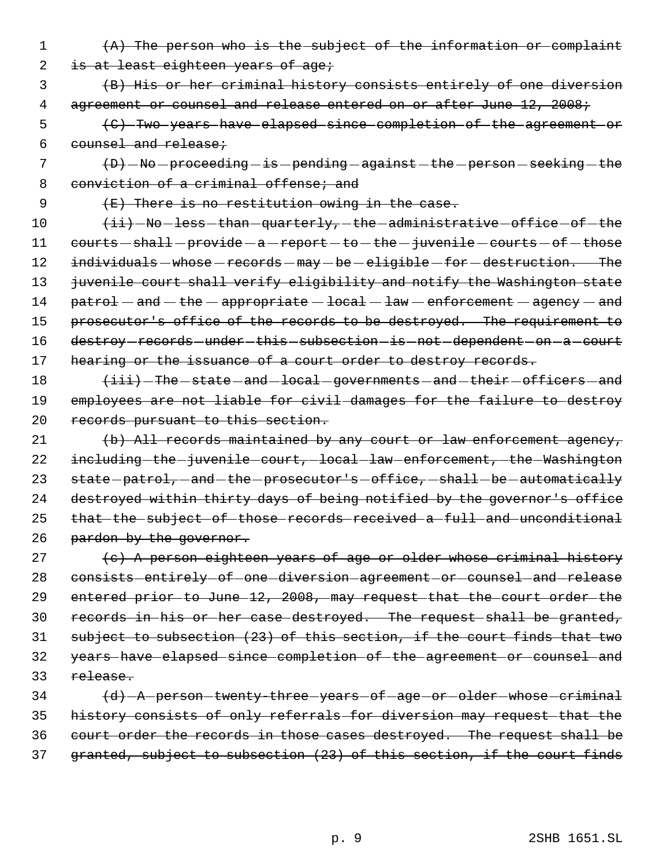1 (A) The person who is the subject of the information or complaint

2 is at least eighteen years of age;

 3 (B) His or her criminal history consists entirely of one diversion 4 agreement or counsel and release entered on or after June 12, 2008;

 5 (C) Two years have elapsed since completion of the agreement or 6 counsel and release;

 $7$   $\left( D\right)$   $\left( -80\right)$   $\left( -80\right)$  proceeding  $\left( -18\right)$  pending  $\left( -80\right)$  against  $\left( -160\right)$  are seeking  $\left( -160\right)$ 8 conviction of a criminal offense; and

9 (E) There is no restitution owing in the case.

 $10$   $\overline{\text{+ii}}$   $\text{-No}-\text{less}-\text{than}-\text{quarterly}-\text{the}-\text{administractive}-\text{offset}-\text{the}$ 11 courts - shall - provide - a - report - to - the - juvenile - courts - of - those 12 individuals - whose - records - may - be - eligible - for - destruction. The 13 juvenile court shall verify eligibility and notify the Washington state 14  $parto1 - and - the - appropriate - local - law - enforcement - agency - and$ 15 prosecutor's office of the records to be destroyed. The requirement to 16 destroy-records-under-this-subsection-is-not-dependent-on-a-court 17 hearing or the issuance of a court order to destroy records.

18  $\leftarrow$   $\leftarrow$   $\leftarrow$  The state and local governments and their officers and 19 employees are not liable for civil damages for the failure to destroy 20 records pursuant to this section.

21 (b) All records maintained by any court or law enforcement agency, 22 including the juvenile court, local law enforcement, the Washington 23 state-patrol,-and-the-prosecutor's-office,-shall-be-automatically 24 destroyed within thirty days of being notified by the governor's office 25 that the subject of those records received a full and unconditional 26 pardon by the governor.

27 (c) A person eighteen years of age or older whose criminal history 28 consists entirely of one diversion agreement or counsel and release 29 entered prior to June 12, 2008, may request that the court order the 30 records in his or her case destroyed. The request shall be granted, 31 subject to subsection (23) of this section, if the court finds that two 32 years have elapsed since completion of the agreement or counsel and 33 release.

34 (d) A person twenty three years of age or older whose criminal 35 history consists of only referrals for diversion may request that the 36 court order the records in those cases destroyed. The request shall be 37 granted, subject to subsection (23) of this section, if the court finds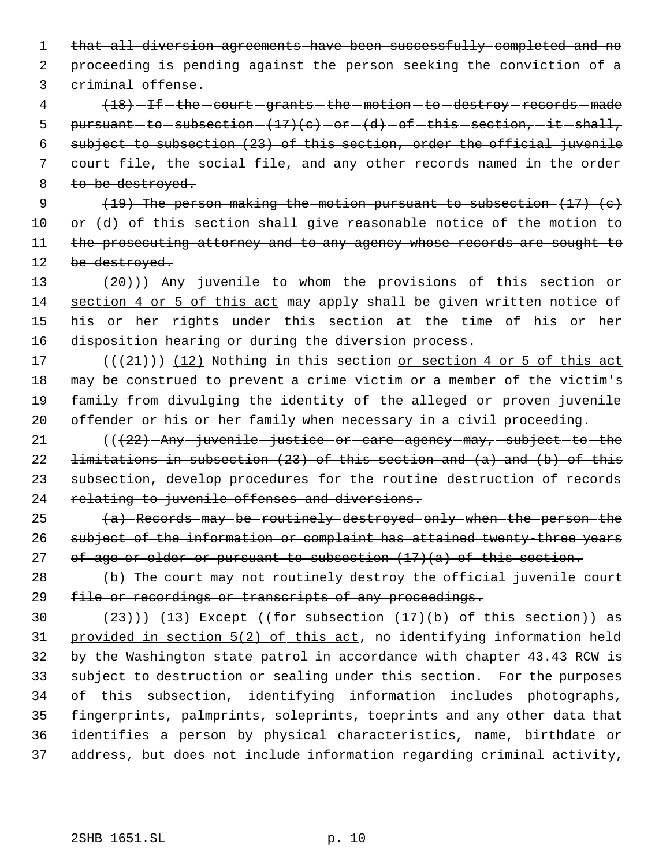that all diversion agreements have been successfully completed and no proceeding is pending against the person seeking the conviction of a

criminal offense.

4 (18) - If - the - court - grants - the - motion - to - destroy - records - made 5 pursuant -to -subsection  $(17)(c)$  -or  $(d)$  -of -this -section, -it -shall, subject to subsection (23) of this section, order the official juvenile court file, the social file, and any other records named in the order 8 to be destroyed.

 $(19)$  The person making the motion pursuant to subsection  $(17)$   $(e)$  or (d) of this section shall give reasonable notice of the motion to 11 the prosecuting attorney and to any agency whose records are sought to 12 be destroyed.

 $(20)$ ) Any juvenile to whom the provisions of this section or 14 section 4 or 5 of this act may apply shall be given written notice of his or her rights under this section at the time of his or her disposition hearing or during the diversion process.

 $((+21))$   $(12)$  Nothing in this section or section 4 or 5 of this act may be construed to prevent a crime victim or a member of the victim's family from divulging the identity of the alleged or proven juvenile offender or his or her family when necessary in a civil proceeding.

21 (() - Any - juvenile - justice - or - care - agency - may, - subject - to - the 22  $l$  limitations in subsection (23) of this section and (a) and (b) of this subsection, develop procedures for the routine destruction of records 24 relating to juvenile offenses and diversions.

25 (a) Records may be routinely destroyed only when the person the subject of the information or complaint has attained twenty-three years 27 of age or older or pursuant to subsection  $(17)(a)$  of this section.

 (b) The court may not routinely destroy the official juvenile court 29 file or recordings or transcripts of any proceedings.

 $(23)$ )) (13) Except ((for subsection  $(17)$ (b) of this section)) as provided in section 5(2) of this act, no identifying information held by the Washington state patrol in accordance with chapter 43.43 RCW is subject to destruction or sealing under this section. For the purposes of this subsection, identifying information includes photographs, fingerprints, palmprints, soleprints, toeprints and any other data that identifies a person by physical characteristics, name, birthdate or address, but does not include information regarding criminal activity,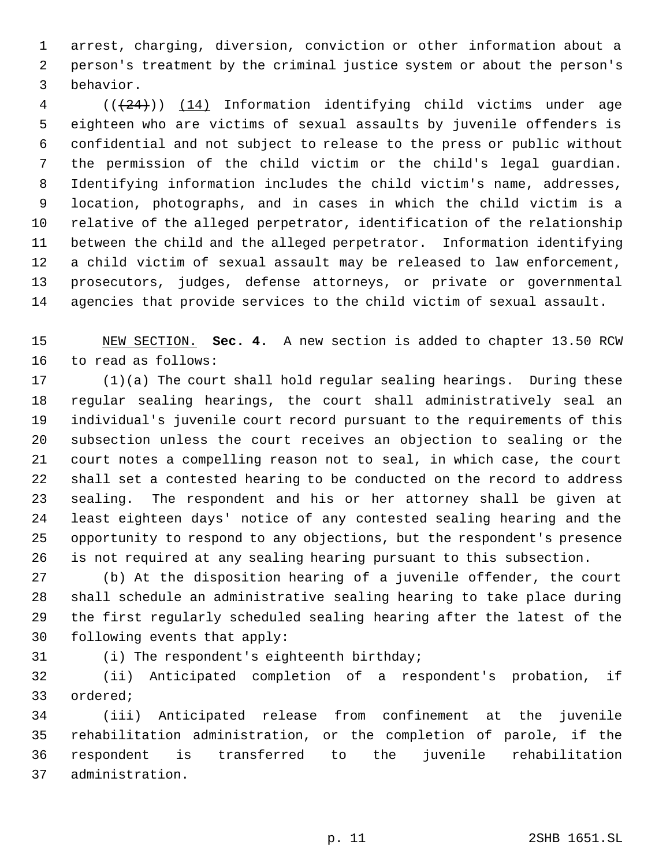arrest, charging, diversion, conviction or other information about a person's treatment by the criminal justice system or about the person's behavior.

4 (( $(24)$ )) (14) Information identifying child victims under age eighteen who are victims of sexual assaults by juvenile offenders is confidential and not subject to release to the press or public without the permission of the child victim or the child's legal guardian. Identifying information includes the child victim's name, addresses, location, photographs, and in cases in which the child victim is a relative of the alleged perpetrator, identification of the relationship between the child and the alleged perpetrator. Information identifying a child victim of sexual assault may be released to law enforcement, prosecutors, judges, defense attorneys, or private or governmental agencies that provide services to the child victim of sexual assault.

 NEW SECTION. **Sec. 4.** A new section is added to chapter 13.50 RCW to read as follows:

 (1)(a) The court shall hold regular sealing hearings. During these regular sealing hearings, the court shall administratively seal an individual's juvenile court record pursuant to the requirements of this subsection unless the court receives an objection to sealing or the court notes a compelling reason not to seal, in which case, the court shall set a contested hearing to be conducted on the record to address sealing. The respondent and his or her attorney shall be given at least eighteen days' notice of any contested sealing hearing and the opportunity to respond to any objections, but the respondent's presence is not required at any sealing hearing pursuant to this subsection.

 (b) At the disposition hearing of a juvenile offender, the court shall schedule an administrative sealing hearing to take place during the first regularly scheduled sealing hearing after the latest of the following events that apply:

(i) The respondent's eighteenth birthday;

 (ii) Anticipated completion of a respondent's probation, if ordered;

 (iii) Anticipated release from confinement at the juvenile rehabilitation administration, or the completion of parole, if the respondent is transferred to the juvenile rehabilitation administration.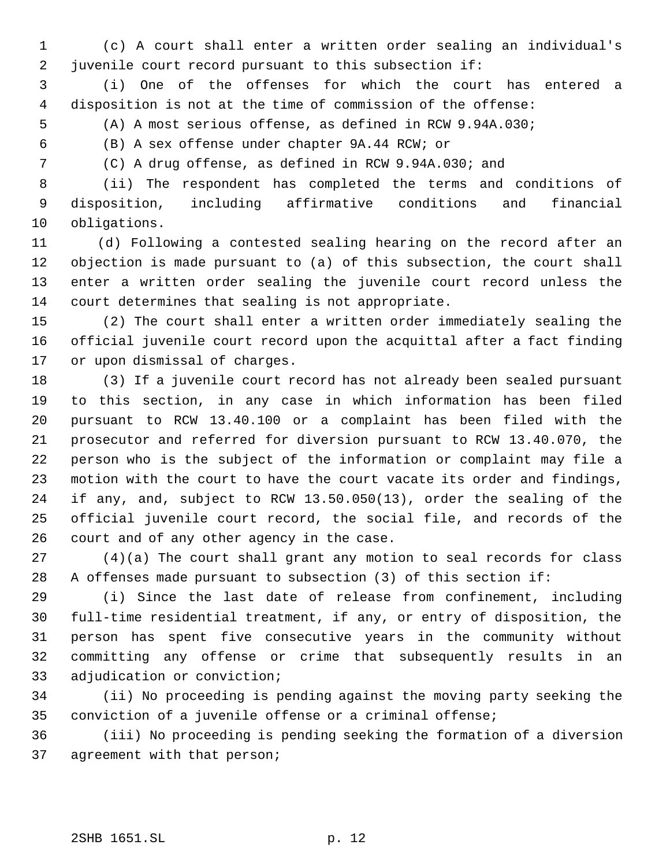(c) A court shall enter a written order sealing an individual's juvenile court record pursuant to this subsection if:

 (i) One of the offenses for which the court has entered a disposition is not at the time of commission of the offense:

(A) A most serious offense, as defined in RCW 9.94A.030;

(B) A sex offense under chapter 9A.44 RCW; or

(C) A drug offense, as defined in RCW 9.94A.030; and

 (ii) The respondent has completed the terms and conditions of disposition, including affirmative conditions and financial obligations.

11 (d) Following a contested sealing hearing on the record after an objection is made pursuant to (a) of this subsection, the court shall enter a written order sealing the juvenile court record unless the court determines that sealing is not appropriate.

 (2) The court shall enter a written order immediately sealing the official juvenile court record upon the acquittal after a fact finding or upon dismissal of charges.

 (3) If a juvenile court record has not already been sealed pursuant to this section, in any case in which information has been filed pursuant to RCW 13.40.100 or a complaint has been filed with the prosecutor and referred for diversion pursuant to RCW 13.40.070, the person who is the subject of the information or complaint may file a motion with the court to have the court vacate its order and findings, if any, and, subject to RCW 13.50.050(13), order the sealing of the official juvenile court record, the social file, and records of the court and of any other agency in the case.

 (4)(a) The court shall grant any motion to seal records for class A offenses made pursuant to subsection (3) of this section if:

 (i) Since the last date of release from confinement, including full-time residential treatment, if any, or entry of disposition, the person has spent five consecutive years in the community without committing any offense or crime that subsequently results in an adjudication or conviction;

 (ii) No proceeding is pending against the moving party seeking the conviction of a juvenile offense or a criminal offense;

 (iii) No proceeding is pending seeking the formation of a diversion agreement with that person;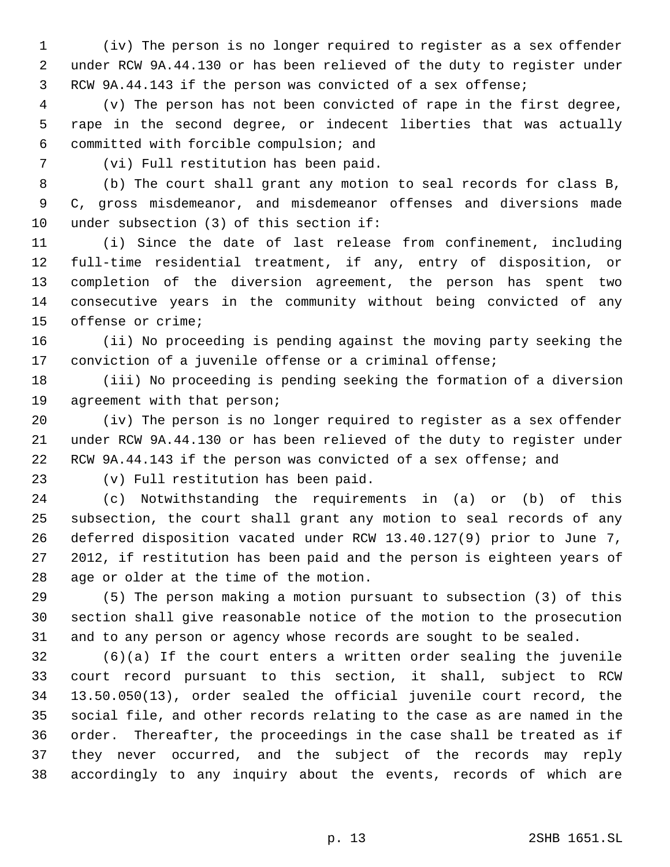(iv) The person is no longer required to register as a sex offender under RCW 9A.44.130 or has been relieved of the duty to register under RCW 9A.44.143 if the person was convicted of a sex offense;

 (v) The person has not been convicted of rape in the first degree, rape in the second degree, or indecent liberties that was actually committed with forcible compulsion; and

(vi) Full restitution has been paid.

 (b) The court shall grant any motion to seal records for class B, C, gross misdemeanor, and misdemeanor offenses and diversions made under subsection (3) of this section if:

 (i) Since the date of last release from confinement, including full-time residential treatment, if any, entry of disposition, or completion of the diversion agreement, the person has spent two consecutive years in the community without being convicted of any offense or crime;

 (ii) No proceeding is pending against the moving party seeking the conviction of a juvenile offense or a criminal offense;

 (iii) No proceeding is pending seeking the formation of a diversion agreement with that person;

 (iv) The person is no longer required to register as a sex offender under RCW 9A.44.130 or has been relieved of the duty to register under RCW 9A.44.143 if the person was convicted of a sex offense; and

(v) Full restitution has been paid.

 (c) Notwithstanding the requirements in (a) or (b) of this subsection, the court shall grant any motion to seal records of any deferred disposition vacated under RCW 13.40.127(9) prior to June 7, 2012, if restitution has been paid and the person is eighteen years of age or older at the time of the motion.

 (5) The person making a motion pursuant to subsection (3) of this section shall give reasonable notice of the motion to the prosecution and to any person or agency whose records are sought to be sealed.

 (6)(a) If the court enters a written order sealing the juvenile court record pursuant to this section, it shall, subject to RCW 13.50.050(13), order sealed the official juvenile court record, the social file, and other records relating to the case as are named in the order. Thereafter, the proceedings in the case shall be treated as if they never occurred, and the subject of the records may reply accordingly to any inquiry about the events, records of which are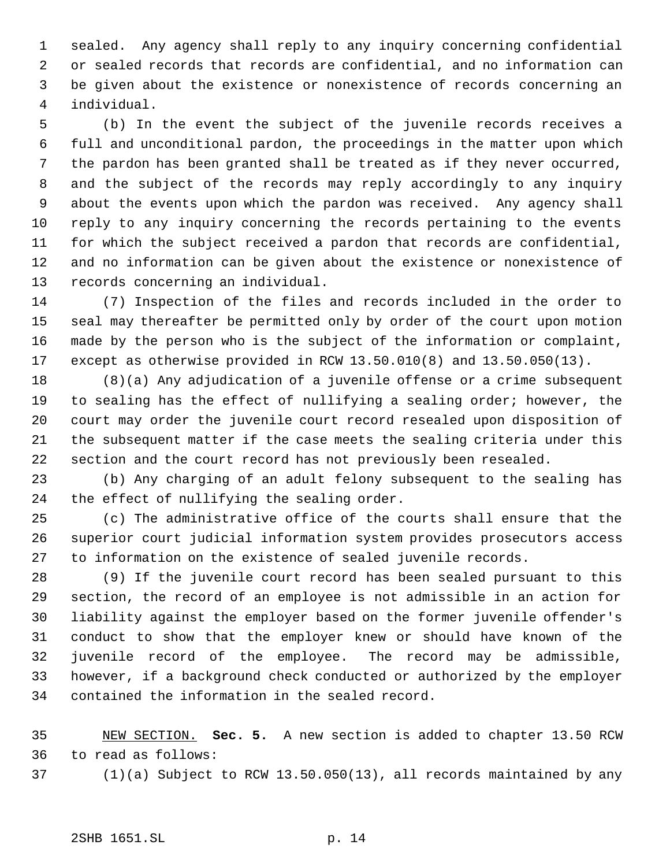sealed. Any agency shall reply to any inquiry concerning confidential or sealed records that records are confidential, and no information can be given about the existence or nonexistence of records concerning an individual.

 (b) In the event the subject of the juvenile records receives a full and unconditional pardon, the proceedings in the matter upon which the pardon has been granted shall be treated as if they never occurred, and the subject of the records may reply accordingly to any inquiry about the events upon which the pardon was received. Any agency shall reply to any inquiry concerning the records pertaining to the events for which the subject received a pardon that records are confidential, and no information can be given about the existence or nonexistence of records concerning an individual.

 (7) Inspection of the files and records included in the order to seal may thereafter be permitted only by order of the court upon motion made by the person who is the subject of the information or complaint, except as otherwise provided in RCW 13.50.010(8) and 13.50.050(13).

 (8)(a) Any adjudication of a juvenile offense or a crime subsequent to sealing has the effect of nullifying a sealing order; however, the court may order the juvenile court record resealed upon disposition of the subsequent matter if the case meets the sealing criteria under this section and the court record has not previously been resealed.

 (b) Any charging of an adult felony subsequent to the sealing has the effect of nullifying the sealing order.

 (c) The administrative office of the courts shall ensure that the superior court judicial information system provides prosecutors access to information on the existence of sealed juvenile records.

 (9) If the juvenile court record has been sealed pursuant to this section, the record of an employee is not admissible in an action for liability against the employer based on the former juvenile offender's conduct to show that the employer knew or should have known of the juvenile record of the employee. The record may be admissible, however, if a background check conducted or authorized by the employer contained the information in the sealed record.

 NEW SECTION. **Sec. 5.** A new section is added to chapter 13.50 RCW to read as follows:

(1)(a) Subject to RCW 13.50.050(13), all records maintained by any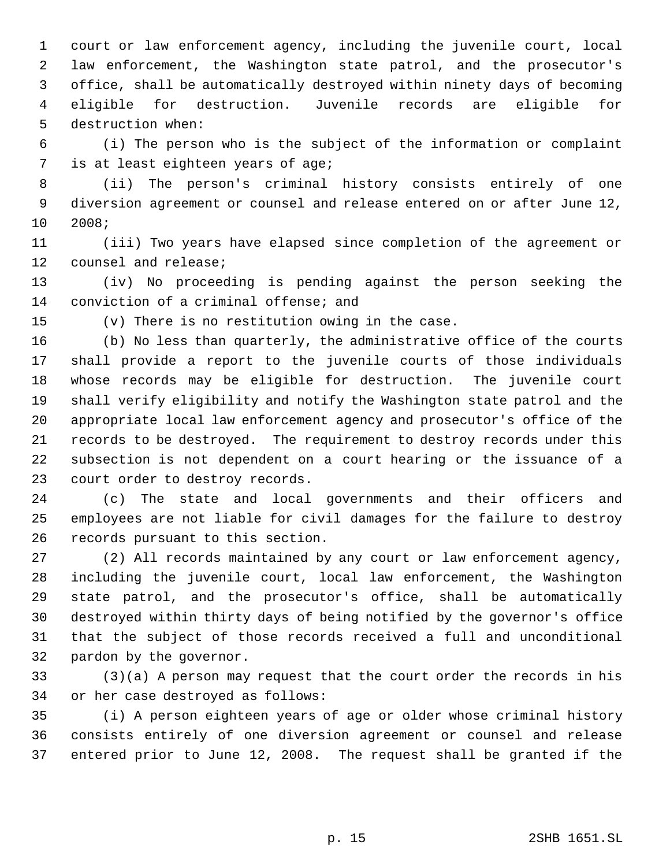court or law enforcement agency, including the juvenile court, local law enforcement, the Washington state patrol, and the prosecutor's office, shall be automatically destroyed within ninety days of becoming eligible for destruction. Juvenile records are eligible for destruction when:

 (i) The person who is the subject of the information or complaint is at least eighteen years of age;

 (ii) The person's criminal history consists entirely of one diversion agreement or counsel and release entered on or after June 12, 2008;

 (iii) Two years have elapsed since completion of the agreement or counsel and release;

 (iv) No proceeding is pending against the person seeking the conviction of a criminal offense; and

(v) There is no restitution owing in the case.

 (b) No less than quarterly, the administrative office of the courts shall provide a report to the juvenile courts of those individuals whose records may be eligible for destruction. The juvenile court shall verify eligibility and notify the Washington state patrol and the appropriate local law enforcement agency and prosecutor's office of the records to be destroyed. The requirement to destroy records under this subsection is not dependent on a court hearing or the issuance of a court order to destroy records.

 (c) The state and local governments and their officers and employees are not liable for civil damages for the failure to destroy records pursuant to this section.

 (2) All records maintained by any court or law enforcement agency, including the juvenile court, local law enforcement, the Washington state patrol, and the prosecutor's office, shall be automatically destroyed within thirty days of being notified by the governor's office that the subject of those records received a full and unconditional pardon by the governor.

 (3)(a) A person may request that the court order the records in his or her case destroyed as follows:

 (i) A person eighteen years of age or older whose criminal history consists entirely of one diversion agreement or counsel and release entered prior to June 12, 2008. The request shall be granted if the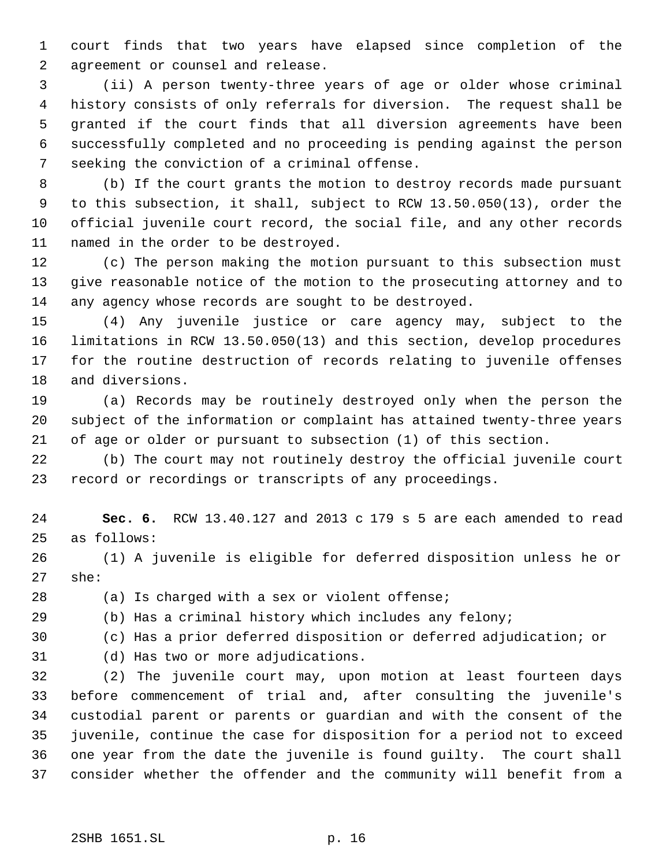court finds that two years have elapsed since completion of the agreement or counsel and release.

 (ii) A person twenty-three years of age or older whose criminal history consists of only referrals for diversion. The request shall be granted if the court finds that all diversion agreements have been successfully completed and no proceeding is pending against the person seeking the conviction of a criminal offense.

 (b) If the court grants the motion to destroy records made pursuant to this subsection, it shall, subject to RCW 13.50.050(13), order the official juvenile court record, the social file, and any other records named in the order to be destroyed.

 (c) The person making the motion pursuant to this subsection must give reasonable notice of the motion to the prosecuting attorney and to any agency whose records are sought to be destroyed.

 (4) Any juvenile justice or care agency may, subject to the limitations in RCW 13.50.050(13) and this section, develop procedures for the routine destruction of records relating to juvenile offenses and diversions.

 (a) Records may be routinely destroyed only when the person the subject of the information or complaint has attained twenty-three years of age or older or pursuant to subsection (1) of this section.

 (b) The court may not routinely destroy the official juvenile court record or recordings or transcripts of any proceedings.

 **Sec. 6.** RCW 13.40.127 and 2013 c 179 s 5 are each amended to read as follows:

 (1) A juvenile is eligible for deferred disposition unless he or she:

(a) Is charged with a sex or violent offense;

(b) Has a criminal history which includes any felony;

(c) Has a prior deferred disposition or deferred adjudication; or

(d) Has two or more adjudications.

 (2) The juvenile court may, upon motion at least fourteen days before commencement of trial and, after consulting the juvenile's custodial parent or parents or guardian and with the consent of the juvenile, continue the case for disposition for a period not to exceed one year from the date the juvenile is found guilty. The court shall consider whether the offender and the community will benefit from a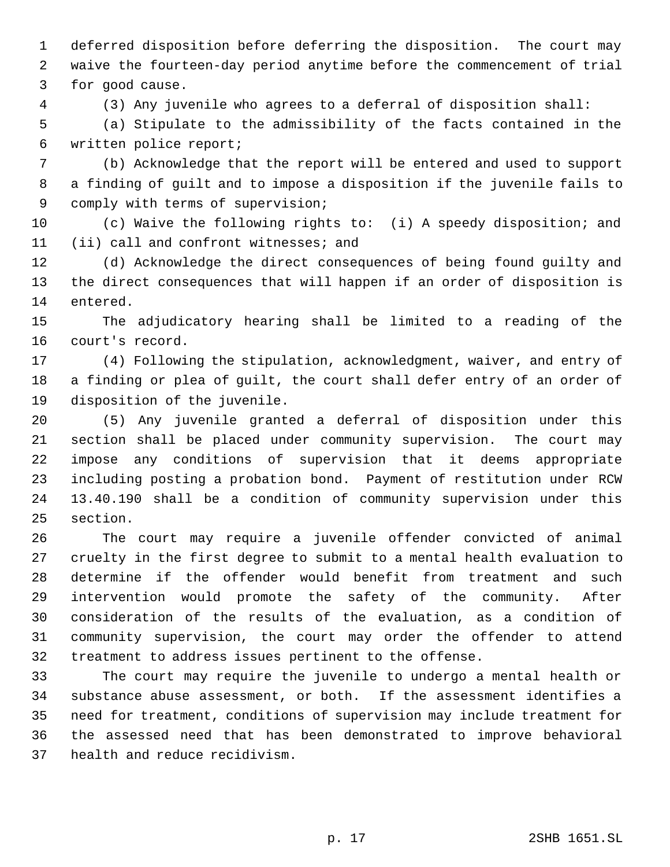deferred disposition before deferring the disposition. The court may waive the fourteen-day period anytime before the commencement of trial for good cause.

(3) Any juvenile who agrees to a deferral of disposition shall:

 (a) Stipulate to the admissibility of the facts contained in the written police report;

 (b) Acknowledge that the report will be entered and used to support a finding of guilt and to impose a disposition if the juvenile fails to comply with terms of supervision;

 (c) Waive the following rights to: (i) A speedy disposition; and (ii) call and confront witnesses; and

 (d) Acknowledge the direct consequences of being found guilty and the direct consequences that will happen if an order of disposition is entered.

 The adjudicatory hearing shall be limited to a reading of the court's record.

 (4) Following the stipulation, acknowledgment, waiver, and entry of a finding or plea of guilt, the court shall defer entry of an order of disposition of the juvenile.

 (5) Any juvenile granted a deferral of disposition under this section shall be placed under community supervision. The court may impose any conditions of supervision that it deems appropriate including posting a probation bond. Payment of restitution under RCW 13.40.190 shall be a condition of community supervision under this section.

 The court may require a juvenile offender convicted of animal cruelty in the first degree to submit to a mental health evaluation to determine if the offender would benefit from treatment and such intervention would promote the safety of the community. After consideration of the results of the evaluation, as a condition of community supervision, the court may order the offender to attend treatment to address issues pertinent to the offense.

 The court may require the juvenile to undergo a mental health or substance abuse assessment, or both. If the assessment identifies a need for treatment, conditions of supervision may include treatment for the assessed need that has been demonstrated to improve behavioral health and reduce recidivism.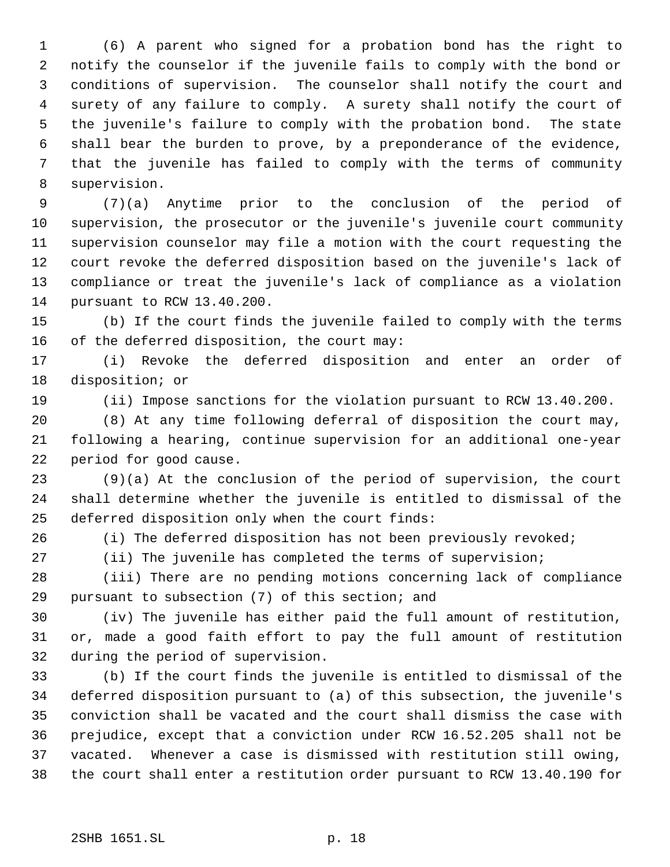(6) A parent who signed for a probation bond has the right to notify the counselor if the juvenile fails to comply with the bond or conditions of supervision. The counselor shall notify the court and surety of any failure to comply. A surety shall notify the court of the juvenile's failure to comply with the probation bond. The state shall bear the burden to prove, by a preponderance of the evidence, that the juvenile has failed to comply with the terms of community supervision.

 (7)(a) Anytime prior to the conclusion of the period of supervision, the prosecutor or the juvenile's juvenile court community supervision counselor may file a motion with the court requesting the court revoke the deferred disposition based on the juvenile's lack of compliance or treat the juvenile's lack of compliance as a violation pursuant to RCW 13.40.200.

 (b) If the court finds the juvenile failed to comply with the terms of the deferred disposition, the court may:

 (i) Revoke the deferred disposition and enter an order of disposition; or

(ii) Impose sanctions for the violation pursuant to RCW 13.40.200.

 (8) At any time following deferral of disposition the court may, following a hearing, continue supervision for an additional one-year period for good cause.

 (9)(a) At the conclusion of the period of supervision, the court shall determine whether the juvenile is entitled to dismissal of the deferred disposition only when the court finds:

(i) The deferred disposition has not been previously revoked;

(ii) The juvenile has completed the terms of supervision;

 (iii) There are no pending motions concerning lack of compliance pursuant to subsection (7) of this section; and

 (iv) The juvenile has either paid the full amount of restitution, or, made a good faith effort to pay the full amount of restitution during the period of supervision.

 (b) If the court finds the juvenile is entitled to dismissal of the deferred disposition pursuant to (a) of this subsection, the juvenile's conviction shall be vacated and the court shall dismiss the case with prejudice, except that a conviction under RCW 16.52.205 shall not be vacated. Whenever a case is dismissed with restitution still owing, the court shall enter a restitution order pursuant to RCW 13.40.190 for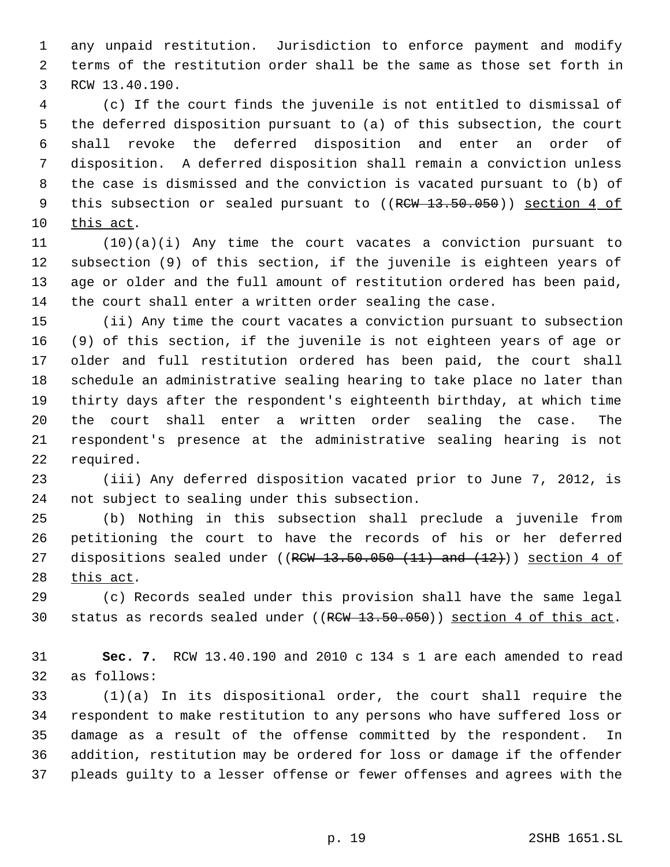any unpaid restitution. Jurisdiction to enforce payment and modify terms of the restitution order shall be the same as those set forth in RCW 13.40.190.

 (c) If the court finds the juvenile is not entitled to dismissal of the deferred disposition pursuant to (a) of this subsection, the court shall revoke the deferred disposition and enter an order of disposition. A deferred disposition shall remain a conviction unless the case is dismissed and the conviction is vacated pursuant to (b) of 9 this subsection or sealed pursuant to ((RCW 13.50.050)) section 4 of this act.

 (10)(a)(i) Any time the court vacates a conviction pursuant to subsection (9) of this section, if the juvenile is eighteen years of age or older and the full amount of restitution ordered has been paid, the court shall enter a written order sealing the case.

 (ii) Any time the court vacates a conviction pursuant to subsection (9) of this section, if the juvenile is not eighteen years of age or older and full restitution ordered has been paid, the court shall schedule an administrative sealing hearing to take place no later than thirty days after the respondent's eighteenth birthday, at which time the court shall enter a written order sealing the case. The respondent's presence at the administrative sealing hearing is not required.

 (iii) Any deferred disposition vacated prior to June 7, 2012, is not subject to sealing under this subsection.

 (b) Nothing in this subsection shall preclude a juvenile from petitioning the court to have the records of his or her deferred 27 dispositions sealed under ( $(RCW-13.50.050(11)$  and  $(12)$ )) section 4 of 28 this act.

 (c) Records sealed under this provision shall have the same legal 30 status as records sealed under ((RCW 13.50.050)) section 4 of this act.

 **Sec. 7.** RCW 13.40.190 and 2010 c 134 s 1 are each amended to read as follows:

 (1)(a) In its dispositional order, the court shall require the respondent to make restitution to any persons who have suffered loss or damage as a result of the offense committed by the respondent. In addition, restitution may be ordered for loss or damage if the offender pleads guilty to a lesser offense or fewer offenses and agrees with the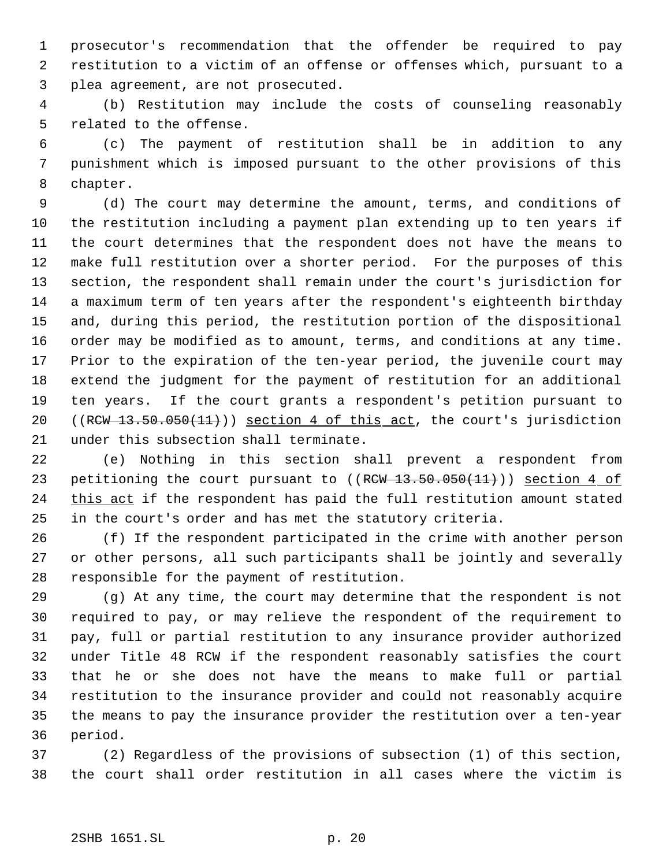prosecutor's recommendation that the offender be required to pay restitution to a victim of an offense or offenses which, pursuant to a plea agreement, are not prosecuted.

 (b) Restitution may include the costs of counseling reasonably related to the offense.

 (c) The payment of restitution shall be in addition to any punishment which is imposed pursuant to the other provisions of this chapter.

 (d) The court may determine the amount, terms, and conditions of the restitution including a payment plan extending up to ten years if the court determines that the respondent does not have the means to make full restitution over a shorter period. For the purposes of this section, the respondent shall remain under the court's jurisdiction for a maximum term of ten years after the respondent's eighteenth birthday and, during this period, the restitution portion of the dispositional order may be modified as to amount, terms, and conditions at any time. Prior to the expiration of the ten-year period, the juvenile court may extend the judgment for the payment of restitution for an additional ten years. If the court grants a respondent's petition pursuant to 20 ((RCW 13.50.050(11))) section 4 of this act, the court's jurisdiction under this subsection shall terminate.

 (e) Nothing in this section shall prevent a respondent from 23 petitioning the court pursuant to ((RCW 13.50.050(11))) section 4 of 24 this act if the respondent has paid the full restitution amount stated in the court's order and has met the statutory criteria.

 (f) If the respondent participated in the crime with another person or other persons, all such participants shall be jointly and severally responsible for the payment of restitution.

 (g) At any time, the court may determine that the respondent is not required to pay, or may relieve the respondent of the requirement to pay, full or partial restitution to any insurance provider authorized under Title 48 RCW if the respondent reasonably satisfies the court that he or she does not have the means to make full or partial restitution to the insurance provider and could not reasonably acquire the means to pay the insurance provider the restitution over a ten-year period.

 (2) Regardless of the provisions of subsection (1) of this section, the court shall order restitution in all cases where the victim is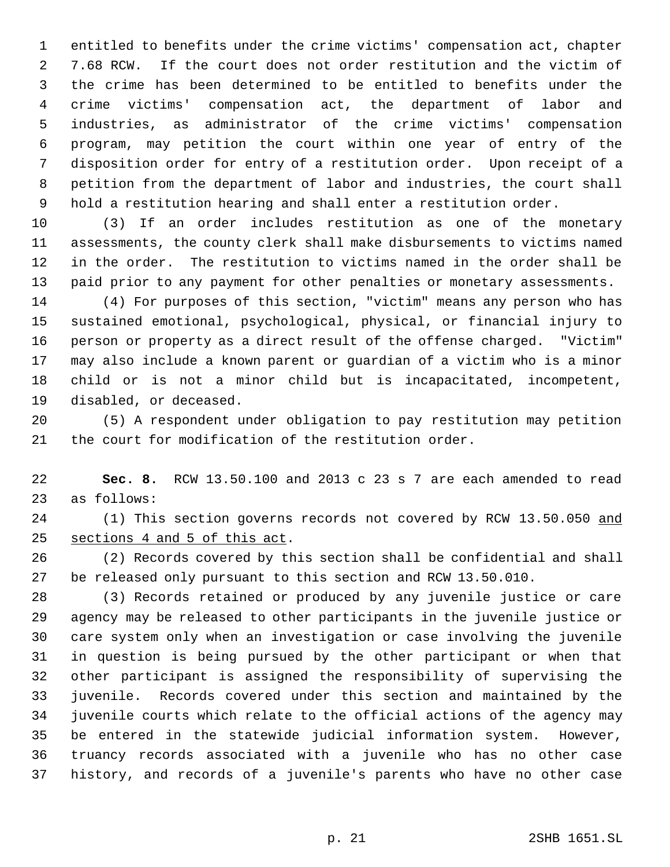entitled to benefits under the crime victims' compensation act, chapter 7.68 RCW. If the court does not order restitution and the victim of the crime has been determined to be entitled to benefits under the crime victims' compensation act, the department of labor and industries, as administrator of the crime victims' compensation program, may petition the court within one year of entry of the disposition order for entry of a restitution order. Upon receipt of a petition from the department of labor and industries, the court shall hold a restitution hearing and shall enter a restitution order.

 (3) If an order includes restitution as one of the monetary assessments, the county clerk shall make disbursements to victims named in the order. The restitution to victims named in the order shall be paid prior to any payment for other penalties or monetary assessments.

 (4) For purposes of this section, "victim" means any person who has sustained emotional, psychological, physical, or financial injury to person or property as a direct result of the offense charged. "Victim" may also include a known parent or guardian of a victim who is a minor child or is not a minor child but is incapacitated, incompetent, disabled, or deceased.

 (5) A respondent under obligation to pay restitution may petition the court for modification of the restitution order.

 **Sec. 8.** RCW 13.50.100 and 2013 c 23 s 7 are each amended to read as follows:

24 (1) This section governs records not covered by RCW 13.50.050 and sections 4 and 5 of this act.

 (2) Records covered by this section shall be confidential and shall be released only pursuant to this section and RCW 13.50.010.

 (3) Records retained or produced by any juvenile justice or care agency may be released to other participants in the juvenile justice or care system only when an investigation or case involving the juvenile in question is being pursued by the other participant or when that other participant is assigned the responsibility of supervising the juvenile. Records covered under this section and maintained by the juvenile courts which relate to the official actions of the agency may be entered in the statewide judicial information system. However, truancy records associated with a juvenile who has no other case history, and records of a juvenile's parents who have no other case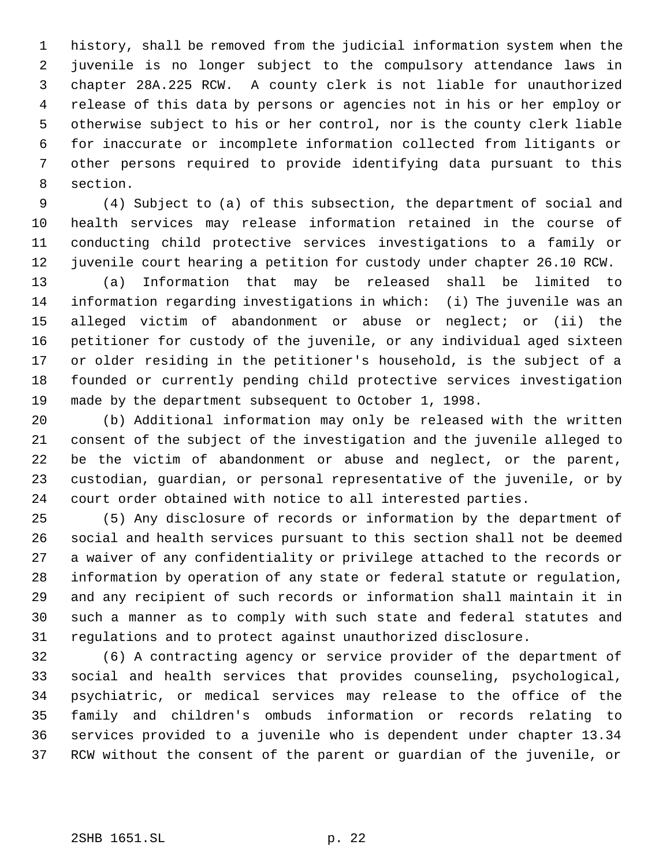history, shall be removed from the judicial information system when the juvenile is no longer subject to the compulsory attendance laws in chapter 28A.225 RCW. A county clerk is not liable for unauthorized release of this data by persons or agencies not in his or her employ or otherwise subject to his or her control, nor is the county clerk liable for inaccurate or incomplete information collected from litigants or other persons required to provide identifying data pursuant to this section.

 (4) Subject to (a) of this subsection, the department of social and health services may release information retained in the course of conducting child protective services investigations to a family or juvenile court hearing a petition for custody under chapter 26.10 RCW.

 (a) Information that may be released shall be limited to information regarding investigations in which: (i) The juvenile was an alleged victim of abandonment or abuse or neglect; or (ii) the petitioner for custody of the juvenile, or any individual aged sixteen or older residing in the petitioner's household, is the subject of a founded or currently pending child protective services investigation made by the department subsequent to October 1, 1998.

 (b) Additional information may only be released with the written consent of the subject of the investigation and the juvenile alleged to be the victim of abandonment or abuse and neglect, or the parent, custodian, guardian, or personal representative of the juvenile, or by court order obtained with notice to all interested parties.

 (5) Any disclosure of records or information by the department of social and health services pursuant to this section shall not be deemed a waiver of any confidentiality or privilege attached to the records or information by operation of any state or federal statute or regulation, and any recipient of such records or information shall maintain it in such a manner as to comply with such state and federal statutes and regulations and to protect against unauthorized disclosure.

 (6) A contracting agency or service provider of the department of social and health services that provides counseling, psychological, psychiatric, or medical services may release to the office of the family and children's ombuds information or records relating to services provided to a juvenile who is dependent under chapter 13.34 RCW without the consent of the parent or guardian of the juvenile, or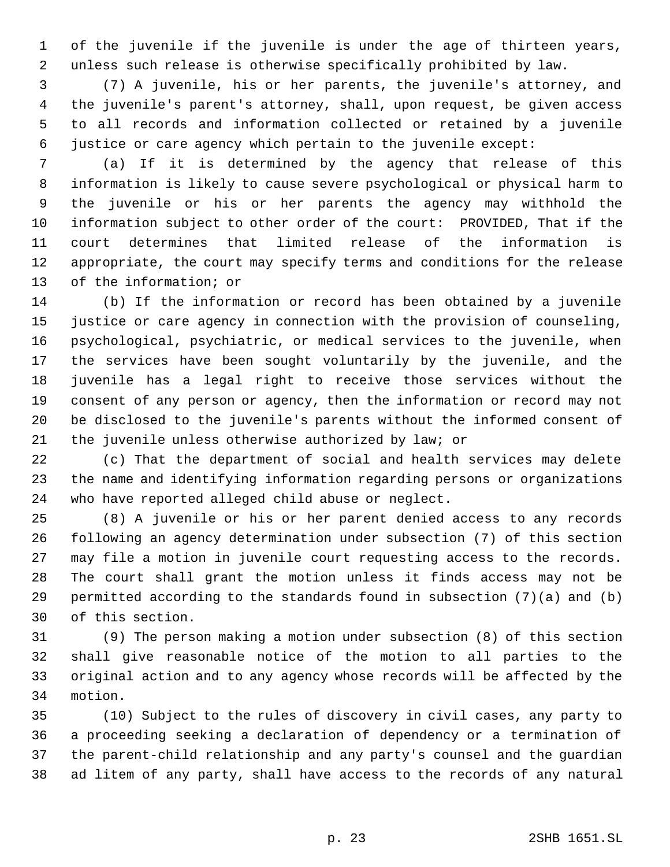of the juvenile if the juvenile is under the age of thirteen years, unless such release is otherwise specifically prohibited by law.

 (7) A juvenile, his or her parents, the juvenile's attorney, and the juvenile's parent's attorney, shall, upon request, be given access to all records and information collected or retained by a juvenile justice or care agency which pertain to the juvenile except:

 (a) If it is determined by the agency that release of this information is likely to cause severe psychological or physical harm to the juvenile or his or her parents the agency may withhold the information subject to other order of the court: PROVIDED, That if the court determines that limited release of the information is appropriate, the court may specify terms and conditions for the release of the information; or

 (b) If the information or record has been obtained by a juvenile justice or care agency in connection with the provision of counseling, psychological, psychiatric, or medical services to the juvenile, when the services have been sought voluntarily by the juvenile, and the juvenile has a legal right to receive those services without the consent of any person or agency, then the information or record may not be disclosed to the juvenile's parents without the informed consent of the juvenile unless otherwise authorized by law; or

 (c) That the department of social and health services may delete the name and identifying information regarding persons or organizations who have reported alleged child abuse or neglect.

 (8) A juvenile or his or her parent denied access to any records following an agency determination under subsection (7) of this section may file a motion in juvenile court requesting access to the records. The court shall grant the motion unless it finds access may not be permitted according to the standards found in subsection (7)(a) and (b) of this section.

 (9) The person making a motion under subsection (8) of this section shall give reasonable notice of the motion to all parties to the original action and to any agency whose records will be affected by the motion.

 (10) Subject to the rules of discovery in civil cases, any party to a proceeding seeking a declaration of dependency or a termination of the parent-child relationship and any party's counsel and the guardian ad litem of any party, shall have access to the records of any natural